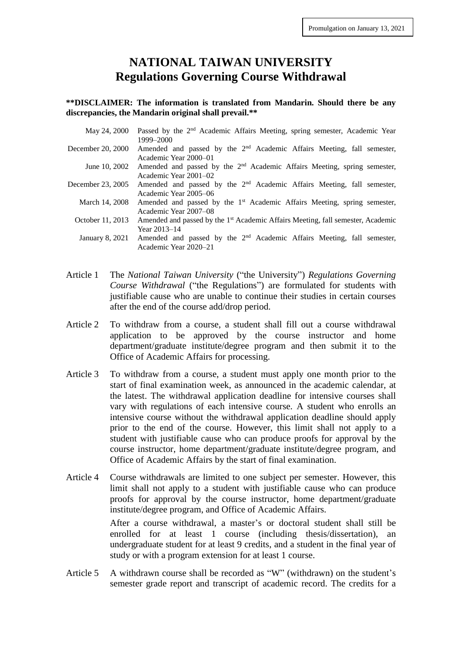## **NATIONAL TAIWAN UNIVERSITY Regulations Governing Course Withdrawal**

## **\*\*DISCLAIMER: The information is translated from Mandarin. Should there be any discrepancies, the Mandarin original shall prevail.\*\***

| May 24, 2000 Passed by the 2 <sup>nd</sup> Academic Affairs Meeting, spring semester, Academic Year<br>1999–2000 |
|------------------------------------------------------------------------------------------------------------------|
| Amended and passed by the $2nd$ Academic Affairs Meeting, fall semester,                                         |
| Academic Year 2000–01                                                                                            |
| Amended and passed by the 2 <sup>nd</sup> Academic Affairs Meeting, spring semester,                             |
| Academic Year 2001–02                                                                                            |
| Amended and passed by the $2nd$ Academic Affairs Meeting, fall semester,                                         |
| Academic Year 2005–06                                                                                            |
| Amended and passed by the 1 <sup>st</sup> Academic Affairs Meeting, spring semester,                             |
| Academic Year 2007–08                                                                                            |
| Amended and passed by the 1 <sup>st</sup> Academic Affairs Meeting, fall semester, Academic                      |
| Year 2013–14                                                                                                     |
| Amended and passed by the $2nd$ Academic Affairs Meeting, fall semester,                                         |
| Academic Year 2020–21                                                                                            |
|                                                                                                                  |

- Article 1 The *National Taiwan University* ("the University") *Regulations Governing Course Withdrawal* ("the Regulations") are formulated for students with justifiable cause who are unable to continue their studies in certain courses after the end of the course add/drop period.
- Article 2 To withdraw from a course, a student shall fill out a course withdrawal application to be approved by the course instructor and home department/graduate institute/degree program and then submit it to the Office of Academic Affairs for processing.
- Article 3 To withdraw from a course, a student must apply one month prior to the start of final examination week, as announced in the academic calendar, at the latest. The withdrawal application deadline for intensive courses shall vary with regulations of each intensive course. A student who enrolls an intensive course without the withdrawal application deadline should apply prior to the end of the course. However, this limit shall not apply to a student with justifiable cause who can produce proofs for approval by the course instructor, home department/graduate institute/degree program, and Office of Academic Affairs by the start of final examination.
- Article 4 Course withdrawals are limited to one subject per semester. However, this limit shall not apply to a student with justifiable cause who can produce proofs for approval by the course instructor, home department/graduate institute/degree program, and Office of Academic Affairs.

After a course withdrawal, a master's or doctoral student shall still be enrolled for at least 1 course (including thesis/dissertation), an undergraduate student for at least 9 credits, and a student in the final year of study or with a program extension for at least 1 course.

Article 5 A withdrawn course shall be recorded as "W" (withdrawn) on the student's semester grade report and transcript of academic record. The credits for a